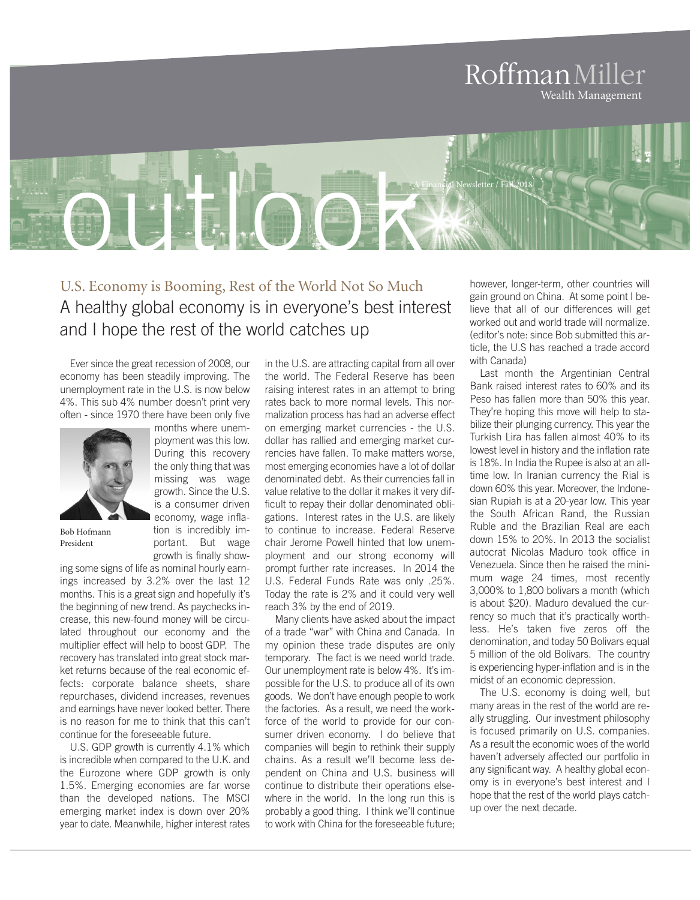## RoffmanMiller Wealth Management

outlook A Financial Newsletter / Fall 2018

> U.S. Economy is Booming, Rest of the World Not So Much A healthy global economy is in everyone's best interest and I hope the rest of the world catches up

Ever since the great recession of 2008, our economy has been steadily improving. The unemployment rate in the U.S. is now below 4%. This sub 4% number doesn't print very often - since 1970 there have been only five

> months where unemployment was this low. During this recovery the only thing that was missing was wage growth. Since the U.S. is a consumer driven economy, wage inflation is incredibly important. But wage growth is finally show-



Bob Hofmann President

ing some signs of life as nominal hourly earnings increased by 3.2% over the last 12 months. This is a great sign and hopefully it's the beginning of new trend. As paychecks increase, this new-found money will be circulated throughout our economy and the multiplier effect will help to boost GDP. The recovery has translated into great stock market returns because of the real economic effects: corporate balance sheets, share repurchases, dividend increases, revenues and earnings have never looked better. There is no reason for me to think that this can't continue for the foreseeable future.

U.S. GDP growth is currently 4.1% which is incredible when compared to the U.K. and the Eurozone where GDP growth is only 1.5%. Emerging economies are far worse than the developed nations. The MSCI emerging market index is down over 20% year to date. Meanwhile, higher interest rates

in the U.S. are attracting capital from all over the world. The Federal Reserve has been raising interest rates in an attempt to bring rates back to more normal levels. This normalization process has had an adverse effect on emerging market currencies - the U.S. dollar has rallied and emerging market currencies have fallen. To make matters worse, most emerging economies have a lot of dollar denominated debt. As their currencies fall in value relative to the dollar it makes it very difficult to repay their dollar denominated obligations. Interest rates in the U.S. are likely to continue to increase. Federal Reserve chair Jerome Powell hinted that low unemployment and our strong economy will prompt further rate increases. In 2014 the U.S. Federal Funds Rate was only .25%. Today the rate is 2% and it could very well reach 3% by the end of 2019.

Many clients have asked about the impact of a trade "war" with China and Canada. In my opinion these trade disputes are only temporary. The fact is we need world trade. Our unemployment rate is below 4%. It's impossible for the U.S. to produce all of its own goods. We don't have enough people to work the factories. As a result, we need the workforce of the world to provide for our consumer driven economy. I do believe that companies will begin to rethink their supply chains. As a result we'll become less dependent on China and U.S. business will continue to distribute their operations elsewhere in the world. In the long run this is probably a good thing. I think we'll continue to work with China for the foreseeable future;

however, longer-term, other countries will gain ground on China. At some point I believe that all of our differences will get worked out and world trade will normalize. (editor's note: since Bob submitted this article, the U.S has reached a trade accord with Canada)

Last month the Argentinian Central Bank raised interest rates to 60% and its Peso has fallen more than 50% this year. They're hoping this move will help to stabilize their plunging currency. This year the Turkish Lira has fallen almost 40% to its lowest level in history and the inflation rate is 18%. In India the Rupee is also at an alltime low. In Iranian currency the Rial is down 60% this year. Moreover, the Indonesian Rupiah is at a 20-year low. This year the South African Rand, the Russian Ruble and the Brazilian Real are each down 15% to 20%. In 2013 the socialist autocrat Nicolas Maduro took office in Venezuela. Since then he raised the minimum wage 24 times, most recently 3,000% to 1,800 bolivars a month (which is about \$20). Maduro devalued the currency so much that it's practically worthless. He's taken five zeros off the denomination, and today 50 Bolivars equal 5 million of the old Bolivars. The country is experiencing hyper-inflation and is in the midst of an economic depression.

The U.S. economy is doing well, but many areas in the rest of the world are really struggling. Our investment philosophy is focused primarily on U.S. companies. As a result the economic woes of the world haven't adversely affected our portfolio in any significant way. A healthy global economy is in everyone's best interest and I hope that the rest of the world plays catchup over the next decade.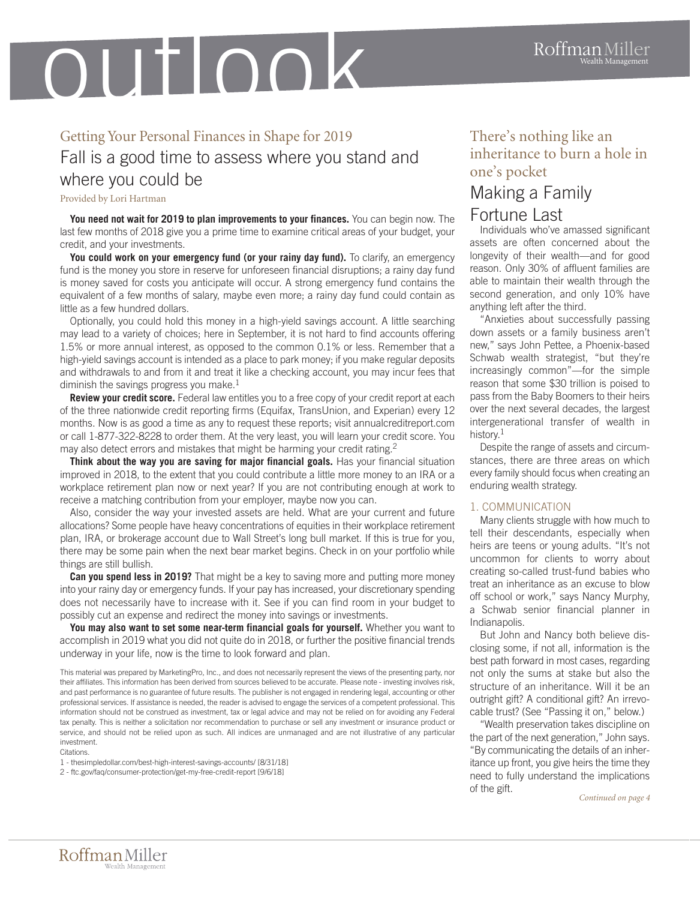# outlook

## Getting Your Personal Finances in Shape for 2019 Fall is a good time to assess where you stand and where you could be

Provided by Lori Hartman

**You need not wait for 2019 to plan improvements to your finances.** You can begin now. The last few months of 2018 give you a prime time to examine critical areas of your budget, your credit, and your investments.

**You could work on your emergency fund (or your rainy day fund).** To clarify, an emergency fund is the money you store in reserve for unforeseen financial disruptions; a rainy day fund is money saved for costs you anticipate will occur. A strong emergency fund contains the equivalent of a few months of salary, maybe even more; a rainy day fund could contain as little as a few hundred dollars.

Optionally, you could hold this money in a high-yield savings account. A little searching may lead to a variety of choices; here in September, it is not hard to find accounts offering 1.5% or more annual interest, as opposed to the common 0.1% or less. Remember that a high-yield savings account is intended as a place to park money; if you make regular deposits and withdrawals to and from it and treat it like a checking account, you may incur fees that diminish the savings progress you make. $^1$ 

**Review your credit score.** Federal law entitles you to a free copy of your credit report at each of the three nationwide credit reporting firms (Equifax, TransUnion, and Experian) every 12 months. Now is as good a time as any to request these reports; visit annualcreditreport.com or call 1-877-322-8228 to order them. At the very least, you will learn your credit score. You may also detect errors and mistakes that might be harming your credit rating.<sup>2</sup>

**Think about the way you are saving for major financial goals.** Has your financial situation improved in 2018, to the extent that you could contribute a little more money to an IRA or a workplace retirement plan now or next year? If you are not contributing enough at work to receive a matching contribution from your employer, maybe now you can.

Also, consider the way your invested assets are held. What are your current and future allocations? Some people have heavy concentrations of equities in their workplace retirement plan, IRA, or brokerage account due to Wall Street's long bull market. If this is true for you, there may be some pain when the next bear market begins. Check in on your portfolio while things are still bullish.

**Can you spend less in 2019?** That might be a key to saving more and putting more money into your rainy day or emergency funds. If your pay has increased, your discretionary spending does not necessarily have to increase with it. See if you can find room in your budget to possibly cut an expense and redirect the money into savings or investments.

**You may also want to set some near-term financial goals for yourself.** Whether you want to accomplish in 2019 what you did not quite do in 2018, or further the positive financial trends underway in your life, now is the time to look forward and plan.

This material was prepared by MarketingPro, Inc., and does not necessarily represent the views of the presenting party, nor their affiliates. This information has been derived from sources believed to be accurate. Please note - investing involves risk, and past performance is no guarantee of future results. The publisher is not engaged in rendering legal, accounting or other professional services. If assistance is needed, the reader is advised to engage the services of a competent professional. This information should not be construed as investment, tax or legal advice and may not be relied on for avoiding any Federal tax penalty. This is neither a solicitation nor recommendation to purchase or sell any investment or insurance product or service, and should not be relied upon as such. All indices are unmanaged and are not illustrative of any particular investment.

Citations.

1 - thesimpledollar.com/best-high-interest-savings-accounts/ [8/31/18]

2 - ftc.gov/faq/consumer-protection/get-my-free-credit-report [9/6/18]

### There's nothing like an inheritance to burn a hole in one's pocket

## Making a Family Fortune Last

Individuals who've amassed significant assets are often concerned about the longevity of their wealth—and for good reason. Only 30% of affluent families are able to maintain their wealth through the second generation, and only 10% have anything left after the third.

"Anxieties about successfully passing down assets or a family business aren't new," says John Pettee, a Phoenix-based Schwab wealth strategist, "but they're increasingly common"—for the simple reason that some \$30 trillion is poised to pass from the Baby Boomers to their heirs over the next several decades, the largest intergenerational transfer of wealth in history. $^{\rm 1}$ 

Despite the range of assets and circumstances, there are three areas on which every family should focus when creating an enduring wealth strategy.

#### 1. COMMUNICATION

Many clients struggle with how much to tell their descendants, especially when heirs are teens or young adults. "It's not uncommon for clients to worry about creating so-called trust-fund babies who treat an inheritance as an excuse to blow off school or work," says Nancy Murphy, a Schwab senior financial planner in Indianapolis.

But John and Nancy both believe disclosing some, if not all, information is the best path forward in most cases, regarding not only the sums at stake but also the structure of an inheritance. Will it be an outright gift? A conditional gift? An irrevocable trust? (See "Passing it on," below.)

"Wealth preservation takes discipline on the part of the next generation," John says. "By communicating the details of an inheritance up front, you give heirs the time they need to fully understand the implications of the gift. *Continued on page <sup>4</sup>*

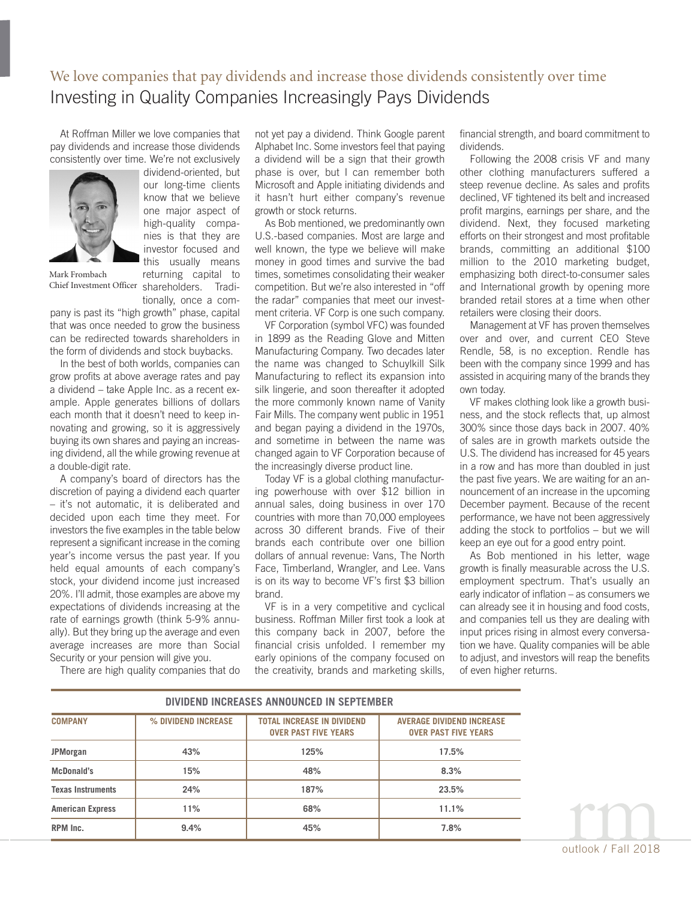### We love companies that pay dividends and increase those dividends consistently over time Investing in Quality Companies Increasingly Pays Dividends

At Roffman Miller we love companies that pay dividends and increase those dividends consistently over time. We're not exclusively



dividend-oriented, but our long-time clients know that we believe one major aspect of high-quality companies is that they are investor focused and this usually means returning capital to

tionally, once a com-

Chief Investment Officer shareholders. Tradi-Mark Frombach

pany is past its "high growth" phase, capital that was once needed to grow the business can be redirected towards shareholders in the form of dividends and stock buybacks.

In the best of both worlds, companies can grow profits at above average rates and pay a dividend – take Apple Inc. as a recent example. Apple generates billions of dollars each month that it doesn't need to keep innovating and growing, so it is aggressively buying its own shares and paying an increasing dividend, all the while growing revenue at a double-digit rate.

A company's board of directors has the discretion of paying a dividend each quarter – it's not automatic, it is deliberated and decided upon each time they meet. For investors the five examples in the table below represent a significant increase in the coming year's income versus the past year. If you held equal amounts of each company's stock, your dividend income just increased 20%. I'll admit, those examples are above my expectations of dividends increasing at the rate of earnings growth (think 5-9% annually). But they bring up the average and even average increases are more than Social Security or your pension will give you.

There are high quality companies that do

not yet pay a dividend. Think Google parent Alphabet Inc. Some investors feel that paying a dividend will be a sign that their growth phase is over, but I can remember both Microsoft and Apple initiating dividends and it hasn't hurt either company's revenue growth or stock returns.

As Bob mentioned, we predominantly own U.S.-based companies. Most are large and well known, the type we believe will make money in good times and survive the bad times, sometimes consolidating their weaker competition. But we're also interested in "off the radar" companies that meet our investment criteria. VF Corp is one such company.

VF Corporation (symbol VFC) was founded in 1899 as the Reading Glove and Mitten Manufacturing Company. Two decades later the name was changed to Schuylkill Silk Manufacturing to reflect its expansion into silk lingerie, and soon thereafter it adopted the more commonly known name of Vanity Fair Mills. The company went public in 1951 and began paying a dividend in the 1970s, and sometime in between the name was changed again to VF Corporation because of the increasingly diverse product line.

Today VF is a global clothing manufacturing powerhouse with over \$12 billion in annual sales, doing business in over 170 countries with more than 70,000 employees across 30 different brands. Five of their brands each contribute over one billion dollars of annual revenue: Vans, The North Face, Timberland, Wrangler, and Lee. Vans is on its way to become VF's first \$3 billion brand.

VF is in a very competitive and cyclical business. Roffman Miller first took a look at this company back in 2007, before the financial crisis unfolded. I remember my early opinions of the company focused on the creativity, brands and marketing skills,

financial strength, and board commitment to dividends.

Following the 2008 crisis VF and many other clothing manufacturers suffered a steep revenue decline. As sales and profits declined, VF tightened its belt and increased profit margins, earnings per share, and the dividend. Next, they focused marketing efforts on their strongest and most profitable brands, committing an additional \$100 million to the 2010 marketing budget, emphasizing both direct-to-consumer sales and International growth by opening more branded retail stores at a time when other retailers were closing their doors.

Management at VF has proven themselves over and over, and current CEO Steve Rendle, 58, is no exception. Rendle has been with the company since 1999 and has assisted in acquiring many of the brands they own today.

VF makes clothing look like a growth business, and the stock reflects that, up almost 300% since those days back in 2007. 40% of sales are in growth markets outside the U.S. The dividend has increased for 45 years in a row and has more than doubled in just the past five years. We are waiting for an announcement of an increase in the upcoming December payment. Because of the recent performance, we have not been aggressively adding the stock to portfolios – but we will keep an eye out for a good entry point.

As Bob mentioned in his letter, wage growth is finally measurable across the U.S. employment spectrum. That's usually an early indicator of inflation – as consumers we can already see it in housing and food costs, and companies tell us they are dealing with input prices rising in almost every conversation we have. Quality companies will be able to adjust, and investors will reap the benefits of even higher returns.

| DIVIDEND INCREASES ANNOUNCED IN SEPTEMBER |                     |                                                                  |                                                                 |
|-------------------------------------------|---------------------|------------------------------------------------------------------|-----------------------------------------------------------------|
| <b>COMPANY</b>                            | % DIVIDEND INCREASE | <b>TOTAL INCREASE IN DIVIDEND</b><br><b>OVER PAST FIVE YEARS</b> | <b>AVERAGE DIVIDEND INCREASE</b><br><b>OVER PAST FIVE YEARS</b> |
| <b>JPMorgan</b>                           | 43%                 | 125%                                                             | 17.5%                                                           |
| McDonald's                                | 15%                 | 48%                                                              | 8.3%                                                            |
| <b>Texas Instruments</b>                  | 24%                 | 187%                                                             | 23.5%                                                           |
| <b>American Express</b>                   | 11%                 | 68%                                                              | 11.1%                                                           |
| RPM Inc.                                  | 9.4%                | 45%                                                              | 7.8%                                                            |

outlook / Fall 2018

rm